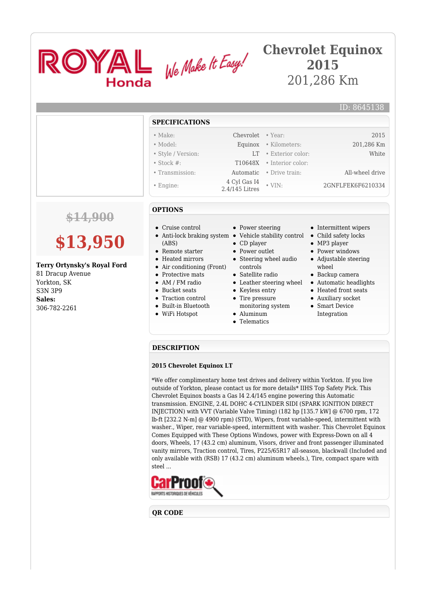

## **Chevrolet Equinox 2015** 201,286 Km

#### **SPECIFICATIONS**

- Make: Chevrolet Year: 2015
- Model: Equinox Kilometers: 201,286 Km • Style / Version: LT • Exterior color: White
- Stock #: T10648X Interior color:
- Transmission: Automatic Drive train: All-wheel drive
- Engine: 4 Cyl Gas I4
- 
- 

### **OPTIONS**

- Cruise control
- Anti-lock braking system Vehicle stability control Child safety locks (ABS)
- Remote starter
- Heated mirrors
- Air conditioning (Front)
- Protective mats
- AM / FM radio
- Bucket seats
- Traction control
- Built-in Bluetooth
- WiFi Hotspot
- Power steering
- 
- CD player • Power outlet
- Steering wheel audio
- controls
- Satellite radio
- 
- Keyless entry • Tire pressure
- monitoring system Aluminum
- 
- Telematics
- Intermittent wipers
- 
- MP3 player

• VIN: 2GNFLFEK6F6210334

- Power windows
- Adjustable steering wheel
- Backup camera
- Leather steering wheel Automatic headlights
	- Heated front seats
	- Auxiliary socket
	- Smart Device Integration

#### **DESCRIPTION**

#### **2015 Chevrolet Equinox LT**

\*We offer complimentary home test drives and delivery within Yorkton. If you live outside of Yorkton, please contact us for more details\* IIHS Top Safety Pick. This Chevrolet Equinox boasts a Gas I4 2.4/145 engine powering this Automatic transmission. ENGINE, 2.4L DOHC 4-CYLINDER SIDI (SPARK IGNITION DIRECT INJECTION) with VVT (Variable Valve Timing) (182 hp [135.7 kW] @ 6700 rpm, 172 lb-ft [232.2 N-m] @ 4900 rpm) (STD), Wipers, front variable-speed, intermittent with washer., Wiper, rear variable-speed, intermittent with washer. This Chevrolet Equinox Comes Equipped with These Options Windows, power with Express-Down on all 4 doors, Wheels, 17 (43.2 cm) aluminum, Visors, driver and front passenger illuminated vanity mirrors, Traction control, Tires, P225/65R17 all-season, blackwall (Included and only available with (RSB) 17 (43.2 cm) aluminum wheels.), Tire, compact spare with steel ...



#### **QR CODE**



# **\$13,950**

#### **Terry Ortynsky's Royal Ford**

81 Dracup Avenue Yorkton, SK S3N 3P9 **Sales:** 306-782-2261